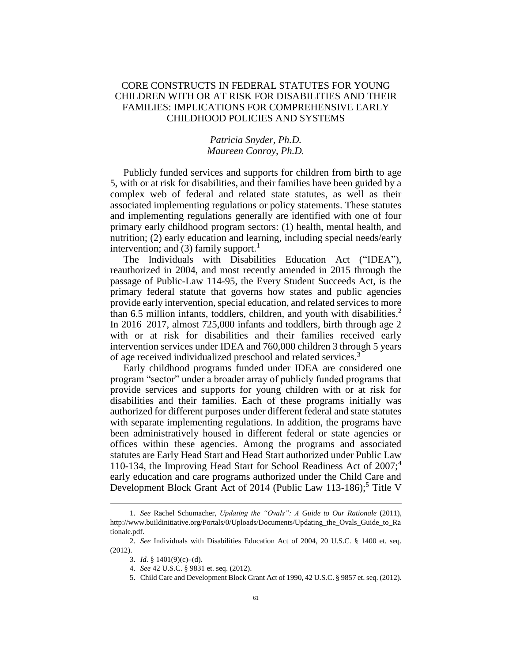## CORE CONSTRUCTS IN FEDERAL STATUTES FOR YOUNG CHILDREN WITH OR AT RISK FOR DISABILITIES AND THEIR FAMILIES: IMPLICATIONS FOR COMPREHENSIVE EARLY CHILDHOOD POLICIES AND SYSTEMS

## <span id="page-0-0"></span>*Patricia Snyder, Ph.D. Maureen Conroy, Ph.D.*

Publicly funded services and supports for children from birth to age 5, with or at risk for disabilities, and their families have been guided by a complex web of federal and related state statutes, as well as their associated implementing regulations or policy statements. These statutes and implementing regulations generally are identified with one of four primary early childhood program sectors: (1) health, mental health, and nutrition; (2) early education and learning, including special needs/early intervention; and (3) family support.<sup>1</sup>

The Individuals with Disabilities Education Act ("IDEA"), reauthorized in 2004, and most recently amended in 2015 through the passage of Public-Law 114-95, the Every Student Succeeds Act, is the primary federal statute that governs how states and public agencies provide early intervention, special education, and related services to more than 6.5 million infants, toddlers, children, and youth with disabilities.<sup>2</sup> In 2016–2017, almost 725,000 infants and toddlers, birth through age 2 with or at risk for disabilities and their families received early intervention services under IDEA and 760,000 children 3 through 5 years of age received individualized preschool and related services.<sup>3</sup>

Early childhood programs funded under IDEA are considered one program "sector" under a broader array of publicly funded programs that provide services and supports for young children with or at risk for disabilities and their families. Each of these programs initially was authorized for different purposes under different federal and state statutes with separate implementing regulations. In addition, the programs have been administratively housed in different federal or state agencies or offices within these agencies. Among the programs and associated statutes are Early Head Start and Head Start authorized under Public Law 110-134, the Improving Head Start for School Readiness Act of  $2007$ ;<sup>4</sup> early education and care programs authorized under the Child Care and Development Block Grant Act of 2014 (Public Law 113-186);<sup>5</sup> Title V

<sup>1.</sup> *See* Rachel Schumacher, *Updating the "Ovals": A Guide to Our Rationale* (2011), http://www.buildinitiative.org/Portals/0/Uploads/Documents/Updating\_the\_Ovals\_Guide\_to\_Ra tionale.pdf.

<sup>2.</sup> *See* Individuals with Disabilities Education Act of 2004, 20 U.S.C. § 1400 et. seq. (2012).

<sup>3.</sup> *Id.* § 1401(9)(c)–(d).

<sup>4.</sup> *See* 42 U.S.C. § 9831 et. seq. (2012).

<sup>5.</sup> Child Care and Development Block Grant Act of 1990, 42 U.S.C. § 9857 et. seq. (2012).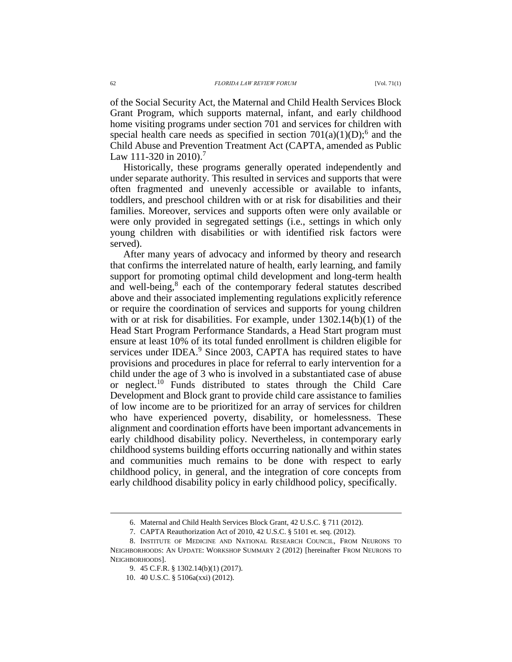of the Social Security Act, the Maternal and Child Health Services Block Grant Program, which supports maternal, infant, and early childhood home visiting programs under section 701 and services for children with special health care needs as specified in section  $701(a)(1)(D)$ ;<sup>6</sup> and the Child Abuse and Prevention Treatment Act (CAPTA, amended as Public Law 111-320 in 2010).<sup>7</sup>

Historically, these programs generally operated independently and under separate authority. This resulted in services and supports that were often fragmented and unevenly accessible or available to infants, toddlers, and preschool children with or at risk for disabilities and their families. Moreover, services and supports often were only available or were only provided in segregated settings (i.e., settings in which only young children with disabilities or with identified risk factors were served).

<span id="page-1-0"></span>After many years of advocacy and informed by theory and research that confirms the interrelated nature of health, early learning, and family support for promoting optimal child development and long-term health and well-being,<sup>8</sup> each of the contemporary federal statutes described above and their associated implementing regulations explicitly reference or require the coordination of services and supports for young children with or at risk for disabilities. For example, under  $1302.14(b)(1)$  of the Head Start Program Performance Standards, a Head Start program must ensure at least 10% of its total funded enrollment is children eligible for services under IDEA.<sup>9</sup> Since 2003, CAPTA has required states to have provisions and procedures in place for referral to early intervention for a child under the age of 3 who is involved in a substantiated case of abuse or neglect.<sup>10</sup> Funds distributed to states through the Child Care Development and Block grant to provide child care assistance to families of low income are to be prioritized for an array of services for children who have experienced poverty, disability, or homelessness. These alignment and coordination efforts have been important advancements in early childhood disability policy. Nevertheless, in contemporary early childhood systems building efforts occurring nationally and within states and communities much remains to be done with respect to early childhood policy, in general, and the integration of core concepts from early childhood disability policy in early childhood policy, specifically.

<sup>6.</sup> Maternal and Child Health Services Block Grant, 42 U.S.C. § 711 (2012).

<sup>7.</sup> CAPTA Reauthorization Act of 2010, 42 U.S.C. § 5101 et. seq. (2012).

<sup>8.</sup> INSTITUTE OF MEDICINE AND NATIONAL RESEARCH COUNCIL, FROM NEURONS TO NEIGHBORHOODS: AN UPDATE: WORKSHOP SUMMARY 2 (2012) [hereinafter FROM NEURONS TO NEIGHBORHOODS].

<sup>9.</sup> 45 C.F.R. § 1302.14(b)(1) (2017).

<sup>10.</sup> 40 U.S.C. § 5106a(xxi) (2012).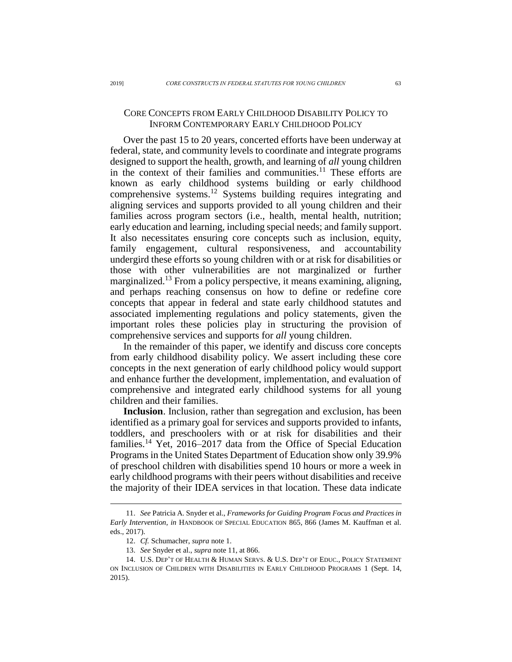## <span id="page-2-0"></span>CORE CONCEPTS FROM EARLY CHILDHOOD DISABILITY POLICY TO INFORM CONTEMPORARY EARLY CHILDHOOD POLICY

Over the past 15 to 20 years, concerted efforts have been underway at federal, state, and community levels to coordinate and integrate programs designed to support the health, growth, and learning of *all* young children in the context of their families and communities. $11$  These efforts are known as early childhood systems building or early childhood comprehensive systems.<sup>12</sup> Systems building requires integrating and aligning services and supports provided to all young children and their families across program sectors (i.e., health, mental health, nutrition; early education and learning, including special needs; and family support. It also necessitates ensuring core concepts such as inclusion, equity, family engagement, cultural responsiveness, and accountability undergird these efforts so young children with or at risk for disabilities or those with other vulnerabilities are not marginalized or further marginalized.<sup>13</sup> From a policy perspective, it means examining, aligning, and perhaps reaching consensus on how to define or redefine core concepts that appear in federal and state early childhood statutes and associated implementing regulations and policy statements, given the important roles these policies play in structuring the provision of comprehensive services and supports for *all* young children.

In the remainder of this paper, we identify and discuss core concepts from early childhood disability policy. We assert including these core concepts in the next generation of early childhood policy would support and enhance further the development, implementation, and evaluation of comprehensive and integrated early childhood systems for all young children and their families.

**Inclusion**. Inclusion, rather than segregation and exclusion, has been identified as a primary goal for services and supports provided to infants, toddlers, and preschoolers with or at risk for disabilities and their families.<sup>14</sup> Yet, 2016–2017 data from the Office of Special Education Programs in the United States Department of Education show only 39.9% of preschool children with disabilities spend 10 hours or more a week in early childhood programs with their peers without disabilities and receive the majority of their IDEA services in that location. These data indicate

<sup>11.</sup> *See* Patricia A. Snyder et al., *Frameworks for Guiding Program Focus and Practices in Early Intervention*, *in* HANDBOOK OF SPECIAL EDUCATION 865, 866 (James M. Kauffman et al. eds., 2017).

<sup>12.</sup> *Cf.* Schumacher, *supra* not[e 1.](#page-0-0)

<sup>13.</sup> *See* Snyder et al., *supra* not[e 11,](#page-2-0) at 866.

<sup>14.</sup> U.S. DEP'T OF HEALTH & HUMAN SERVS. & U.S. DEP'T OF EDUC., POLICY STATEMENT ON INCLUSION OF CHILDREN WITH DISABILITIES IN EARLY CHILDHOOD PROGRAMS 1 (Sept. 14, 2015).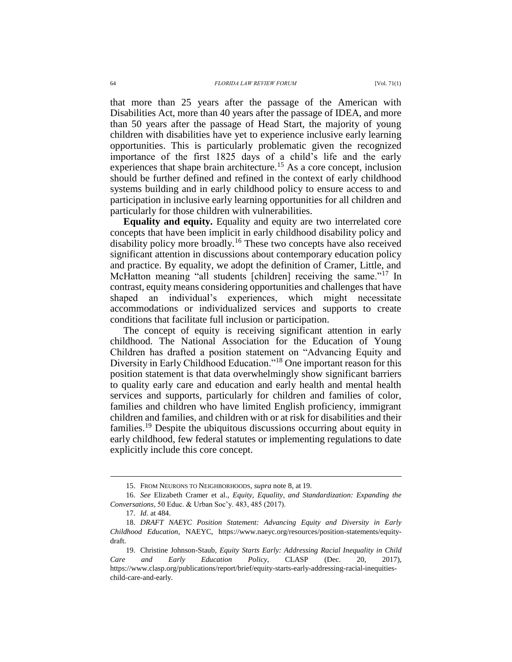that more than 25 years after the passage of the American with Disabilities Act, more than 40 years after the passage of IDEA, and more than 50 years after the passage of Head Start, the majority of young children with disabilities have yet to experience inclusive early learning opportunities. This is particularly problematic given the recognized importance of the first 1825 days of a child's life and the early experiences that shape brain architecture.<sup>15</sup> As a core concept, inclusion should be further defined and refined in the context of early childhood systems building and in early childhood policy to ensure access to and participation in inclusive early learning opportunities for all children and particularly for those children with vulnerabilities.

<span id="page-3-0"></span>**Equality and equity.** Equality and equity are two interrelated core concepts that have been implicit in early childhood disability policy and disability policy more broadly.<sup>16</sup> These two concepts have also received significant attention in discussions about contemporary education policy and practice. By equality, we adopt the definition of Cramer, Little, and McHatton meaning "all students [children] receiving the same."<sup>17</sup> In contrast, equity means considering opportunities and challenges that have shaped an individual's experiences, which might necessitate accommodations or individualized services and supports to create conditions that facilitate full inclusion or participation.

The concept of equity is receiving significant attention in early childhood. The National Association for the Education of Young Children has drafted a position statement on "Advancing Equity and Diversity in Early Childhood Education."<sup>18</sup> One important reason for this position statement is that data overwhelmingly show significant barriers to quality early care and education and early health and mental health services and supports, particularly for children and families of color, families and children who have limited English proficiency, immigrant children and families, and children with or at risk for disabilities and their families.<sup>19</sup> Despite the ubiquitous discussions occurring about equity in early childhood, few federal statutes or implementing regulations to date explicitly include this core concept.

<sup>15.</sup> FROM NEURONS TO NEIGHBORHOODS, *supra* not[e 8,](#page-1-0) at 19.

<sup>16.</sup> *See* Elizabeth Cramer et al., *Equity, Equality, and Standardization: Expanding the Conversations*, 50 Educ. & Urban Soc'y. 483, 485 (2017).

<sup>17.</sup> *Id.* at 484.

<sup>18.</sup> *DRAFT NAEYC Position Statement: Advancing Equity and Diversity in Early Childhood Education*, NAEYC, https://www.naeyc.org/resources/position-statements/equitydraft.

<sup>19.</sup> Christine Johnson-Staub, *Equity Starts Early: Addressing Racial Inequality in Child Care and Early Education Policy*, CLASP (Dec. 20, 2017), https://www.clasp.org/publications/report/brief/equity-starts-early-addressing-racial-inequitieschild-care-and-early.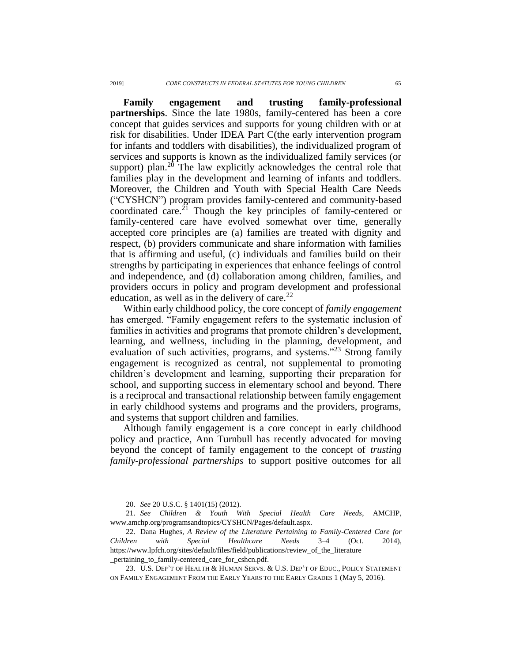**Family engagement and trusting family-professional partnerships**. Since the late 1980s, family-centered has been a core concept that guides services and supports for young children with or at risk for disabilities. Under IDEA Part C(the early intervention program for infants and toddlers with disabilities), the individualized program of services and supports is known as the individualized family services (or support) plan.<sup>20</sup> The law explicitly acknowledges the central role that families play in the development and learning of infants and toddlers. Moreover, the Children and Youth with Special Health Care Needs ("CYSHCN") program provides family-centered and community-based coordinated care.<sup>21</sup> Though the key principles of family-centered or family-centered care have evolved somewhat over time, generally accepted core principles are (a) families are treated with dignity and respect, (b) providers communicate and share information with families that is affirming and useful, (c) individuals and families build on their strengths by participating in experiences that enhance feelings of control and independence, and (d) collaboration among children, families, and providers occurs in policy and program development and professional education, as well as in the delivery of care. $^{22}$ 

Within early childhood policy, the core concept of *family engagement* has emerged. "Family engagement refers to the systematic inclusion of families in activities and programs that promote children's development, learning, and wellness, including in the planning, development, and evaluation of such activities, programs, and systems."<sup>23</sup> Strong family engagement is recognized as central, not supplemental to promoting children's development and learning, supporting their preparation for school, and supporting success in elementary school and beyond. There is a reciprocal and transactional relationship between family engagement in early childhood systems and programs and the providers, programs, and systems that support children and families.

Although family engagement is a core concept in early childhood policy and practice, Ann Turnbull has recently advocated for moving beyond the concept of family engagement to the concept of *trusting family-professional partnerships* to support positive outcomes for all

<sup>20.</sup> *See* 20 U.S.C. § 1401(15) (2012).

<sup>21.</sup> *See Children & Youth With Special Health Care Needs*, AMCHP, www.amchp.org/programsandtopics/CYSHCN/Pages/default.aspx.

<sup>22.</sup> Dana Hughes, *A Review of the Literature Pertaining to Family-Centered Care for Children with Special Healthcare Needs* 3–4 (Oct. 2014), https://www.lpfch.org/sites/default/files/field/publications/review\_of\_the\_literature \_pertaining\_to\_family-centered\_care\_for\_cshcn.pdf.

<sup>23.</sup> U.S. DEP'T OF HEALTH & HUMAN SERVS. & U.S. DEP'T OF EDUC., POLICY STATEMENT ON FAMILY ENGAGEMENT FROM THE EARLY YEARS TO THE EARLY GRADES 1 (May 5, 2016).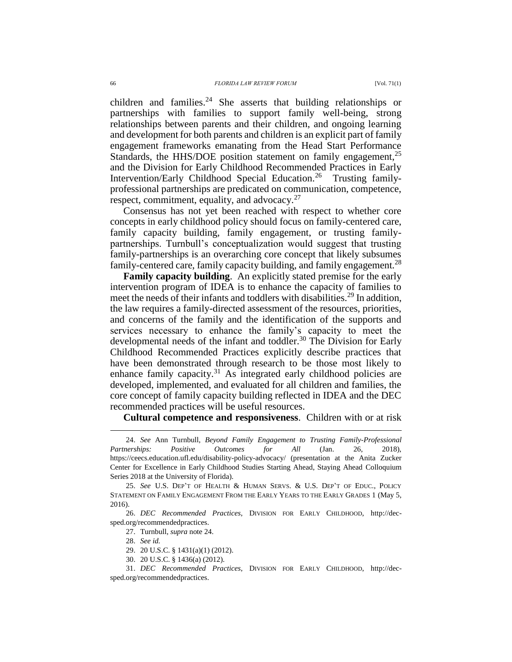<span id="page-5-0"></span>children and families.<sup>24</sup> She asserts that building relationships or partnerships with families to support family well-being, strong relationships between parents and their children, and ongoing learning and development for both parents and children is an explicit part of family engagement frameworks emanating from the Head Start Performance Standards, the HHS/DOE position statement on family engagement,<sup>25</sup> and the Division for Early Childhood Recommended Practices in Early Intervention/Early Childhood Special Education.<sup>26</sup> Trusting familyprofessional partnerships are predicated on communication, competence, respect, commitment, equality, and advocacy.<sup>27</sup>

Consensus has not yet been reached with respect to whether core concepts in early childhood policy should focus on family-centered care, family capacity building, family engagement, or trusting familypartnerships. Turnbull's conceptualization would suggest that trusting family-partnerships is an overarching core concept that likely subsumes family-centered care, family capacity building, and family engagement.<sup>28</sup>

**Family capacity building**. An explicitly stated premise for the early intervention program of IDEA is to enhance the capacity of families to meet the needs of their infants and toddlers with disabilities.<sup>29</sup> In addition, the law requires a family-directed assessment of the resources, priorities, and concerns of the family and the identification of the supports and services necessary to enhance the family's capacity to meet the developmental needs of the infant and toddler.<sup>30</sup> The Division for Early Childhood Recommended Practices explicitly describe practices that have been demonstrated through research to be those most likely to enhance family capacity.<sup>31</sup> As integrated early childhood policies are developed, implemented, and evaluated for all children and families, the core concept of family capacity building reflected in IDEA and the DEC recommended practices will be useful resources.

**Cultural competence and responsiveness**. Children with or at risk

<sup>24.</sup> *See* Ann Turnbull, *Beyond Family Engagement to Trusting Family-Professional Partnerships: Positive Outcomes for All* (Jan. 26, 2018), https://ceecs.education.ufl.edu/disability-policy-advocacy/ (presentation at the Anita Zucker Center for Excellence in Early Childhood Studies Starting Ahead, Staying Ahead Colloquium Series 2018 at the University of Florida).

<sup>25.</sup> *See* U.S. DEP'T OF HEALTH & HUMAN SERVS. & U.S. DEP'T OF EDUC., POLICY STATEMENT ON FAMILY ENGAGEMENT FROM THE EARLY YEARS TO THE EARLY GRADES 1 (May 5, 2016).

<sup>26.</sup> *DEC Recommended Practices*, DIVISION FOR EARLY CHILDHOOD, http://decsped.org/recommendedpractices.

<sup>27.</sup> Turnbull, *supra* not[e 24.](#page-5-0) 

<sup>28.</sup> *See id.*

<sup>29.</sup> 20 U.S.C. § 1431(a)(1) (2012).

<sup>30.</sup> 20 U.S.C. § 1436(a) (2012).

<sup>31.</sup> *DEC Recommended Practices*, DIVISION FOR EARLY CHILDHOOD, http://decsped.org/recommendedpractices.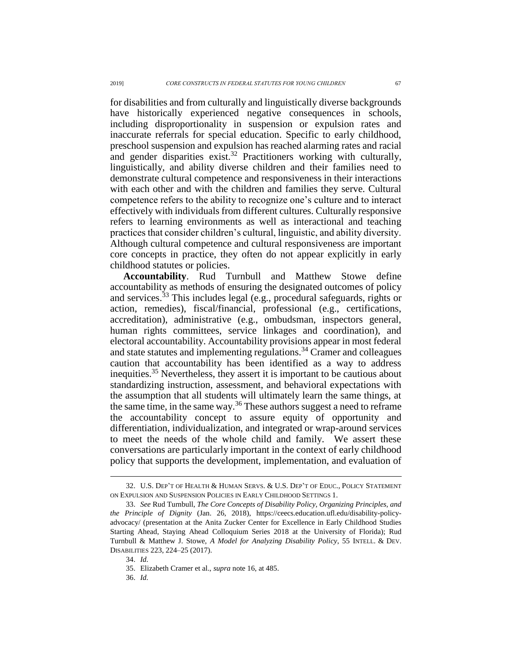for disabilities and from culturally and linguistically diverse backgrounds have historically experienced negative consequences in schools, including disproportionality in suspension or expulsion rates and inaccurate referrals for special education. Specific to early childhood, preschool suspension and expulsion has reached alarming rates and racial and gender disparities exist.<sup>32</sup> Practitioners working with culturally, linguistically, and ability diverse children and their families need to demonstrate cultural competence and responsiveness in their interactions with each other and with the children and families they serve. Cultural competence refers to the ability to recognize one's culture and to interact effectively with individuals from different cultures. Culturally responsive refers to learning environments as well as interactional and teaching practices that consider children's cultural, linguistic, and ability diversity. Although cultural competence and cultural responsiveness are important core concepts in practice, they often do not appear explicitly in early childhood statutes or policies.

<span id="page-6-0"></span>**Accountability**. Rud Turnbull and Matthew Stowe define accountability as methods of ensuring the designated outcomes of policy and services.<sup>33</sup> This includes legal (e.g., procedural safeguards, rights or action, remedies), fiscal/financial, professional (e.g., certifications, accreditation), administrative (e.g., ombudsman, inspectors general, human rights committees, service linkages and coordination), and electoral accountability. Accountability provisions appear in most federal and state statutes and implementing regulations.<sup>34</sup> Cramer and colleagues caution that accountability has been identified as a way to address inequities.<sup>35</sup> Nevertheless, they assert it is important to be cautious about standardizing instruction, assessment, and behavioral expectations with the assumption that all students will ultimately learn the same things, at the same time, in the same way.<sup>36</sup> These authors suggest a need to reframe the accountability concept to assure equity of opportunity and differentiation, individualization, and integrated or wrap-around services to meet the needs of the whole child and family. We assert these conversations are particularly important in the context of early childhood policy that supports the development, implementation, and evaluation of

<sup>32.</sup> U.S. DEP'T OF HEALTH & HUMAN SERVS. & U.S. DEP'T OF EDUC., POLICY STATEMENT ON EXPULSION AND SUSPENSION POLICIES IN EARLY CHILDHOOD SETTINGS 1.

<sup>33.</sup> *See* Rud Turnbull, *The Core Concepts of Disability Policy, Organizing Principles, and the Principle of Dignity* (Jan. 26, 2018), https://ceecs.education.ufl.edu/disability-policyadvocacy/ (presentation at the Anita Zucker Center for Excellence in Early Childhood Studies Starting Ahead, Staying Ahead Colloquium Series 2018 at the University of Florida); Rud Turnbull & Matthew J. Stowe, *A Model for Analyzing Disability Policy*, 55 INTELL. & DEV. DISABILITIES 223, 224–25 (2017).

<sup>34.</sup> *Id.*

<sup>35.</sup> Elizabeth Cramer et al., *supra* not[e 16,](#page-3-0) at 485.

<sup>36.</sup> *Id.*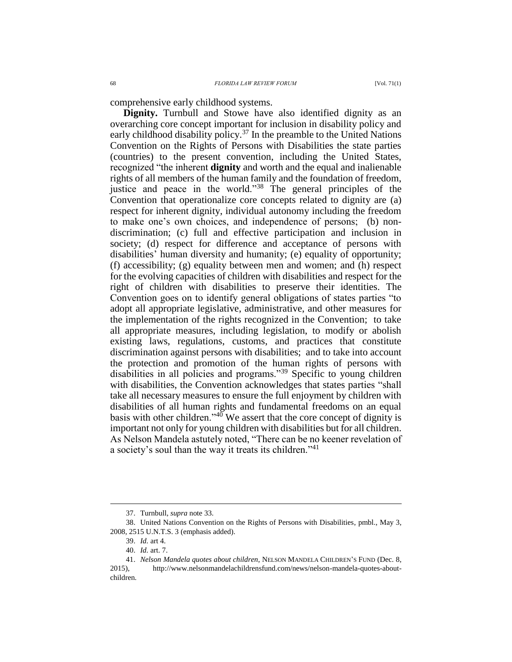**Dignity.** Turnbull and Stowe have also identified dignity as an overarching core concept important for inclusion in disability policy and early childhood disability policy.<sup>37</sup> In the preamble to the United Nations Convention on the Rights of Persons with Disabilities the state parties (countries) to the present convention, including the United States, recognized "the inherent **dignity** and worth and the equal and inalienable rights of all members of the human family and the foundation of freedom, justice and peace in the world."<sup>38</sup> The general principles of the Convention that operationalize core concepts related to dignity are (a) respect for inherent dignity, individual autonomy including the freedom to make one's own choices, and independence of persons; (b) nondiscrimination; (c) full and effective participation and inclusion in society; (d) respect for difference and acceptance of persons with disabilities' human diversity and humanity; (e) equality of opportunity; (f) accessibility; (g) equality between men and women; and (h) respect for the evolving capacities of children with disabilities and respect for the right of children with disabilities to preserve their identities. The Convention goes on to identify general obligations of states parties "to adopt all appropriate legislative, administrative, and other measures for the implementation of the rights recognized in the Convention; to take all appropriate measures, including legislation, to modify or abolish existing laws, regulations, customs, and practices that constitute discrimination against persons with disabilities; and to take into account the protection and promotion of the human rights of persons with disabilities in all policies and programs."<sup>39</sup> Specific to young children with disabilities, the Convention acknowledges that states parties "shall take all necessary measures to ensure the full enjoyment by children with disabilities of all human rights and fundamental freedoms on an equal basis with other children."<sup>40</sup> We assert that the core concept of dignity is important not only for young children with disabilities but for all children. As Nelson Mandela astutely noted, "There can be no keener revelation of a society's soul than the way it treats its children."<sup>41</sup>

<sup>37.</sup> Turnbull, *supra* not[e 33.](#page-6-0)

<sup>38.</sup> United Nations Convention on the Rights of Persons with Disabilities, pmbl., May 3, 2008, 2515 U.N.T.S. 3 (emphasis added).

<sup>39.</sup> *Id.* art 4.

<sup>40.</sup> *Id.* art. 7.

<sup>41.</sup> *Nelson Mandela quotes about children*, NELSON MANDELA CHILDREN'S FUND (Dec. 8,

<sup>2015),</sup> http://www.nelsonmandelachildrensfund.com/news/nelson-mandela-quotes-aboutchildren.